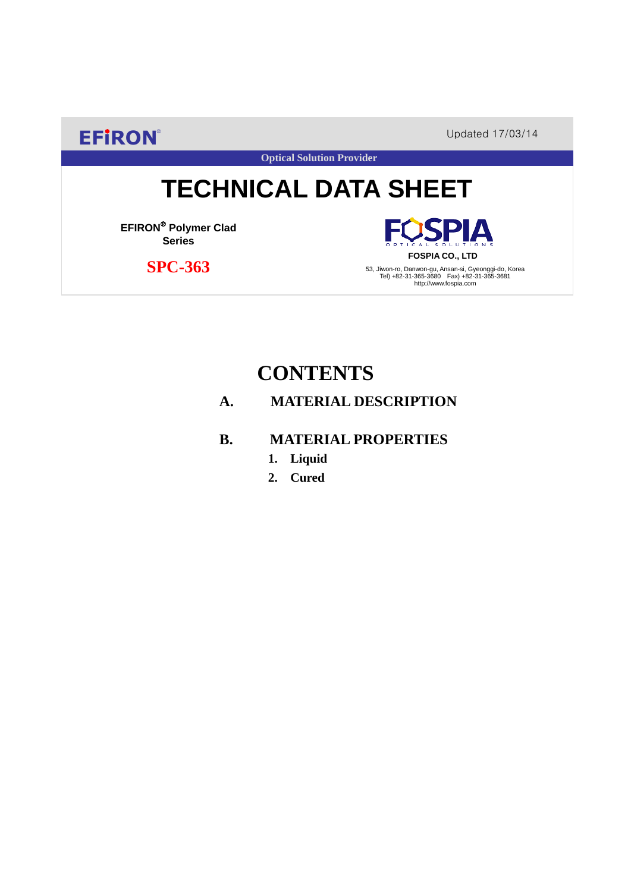**EFIRON®** Updated 17/03/14

**Optical Solution Provider**

# **TECHNICAL DATA SHEET**

**EFIRON**® **Polymer Clad Series**

 **SPC-363**

**SPIA FOSPIA CO., LTD**

53, Jiwon-ro, Danwon-gu, Ansan-si, Gyeonggi-do, Korea Tel) +82-31-365-3680 Fax) +82-31-365-3681 http://www.fospia.com

## **CONTENTS**

### **A. MATERIAL DESCRIPTION**

#### **B. MATERIAL PROPERTIES**

- **1. Liquid**
- **2. Cured**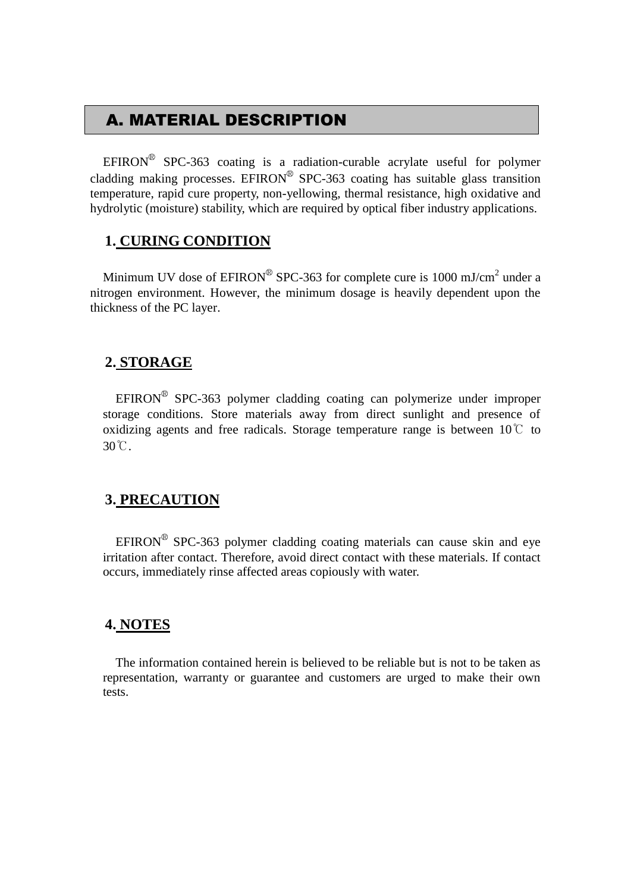## A. MATERIAL DESCRIPTION

EFIRON<sup>®</sup> SPC-363 coating is a radiation-curable acrylate useful for polymer cladding making processes. EFIRON<sup>®</sup> SPC-363 coating has suitable glass transition temperature, rapid cure property, non-yellowing, thermal resistance, high oxidative and hydrolytic (moisture) stability, which are required by optical fiber industry applications.

#### **1. CURING CONDITION**

Minimum UV dose of  $EPIRON^{\circledR}$  SPC-363 for complete cure is 1000 mJ/cm<sup>2</sup> under a nitrogen environment. However, the minimum dosage is heavily dependent upon the thickness of the PC layer.

#### **2. STORAGE**

 $EFINON^{\circledR}$  SPC-363 polymer cladding coating can polymerize under improper storage conditions. Store materials away from direct sunlight and presence of oxidizing agents and free radicals. Storage temperature range is between  $10^{\circ}$  to 30℃.

#### **3. PRECAUTION**

 $EFINON^{\circledR}$  SPC-363 polymer cladding coating materials can cause skin and eye irritation after contact. Therefore, avoid direct contact with these materials. If contact occurs, immediately rinse affected areas copiously with water.

#### **4. NOTES**

The information contained herein is believed to be reliable but is not to be taken as representation, warranty or guarantee and customers are urged to make their own tests.